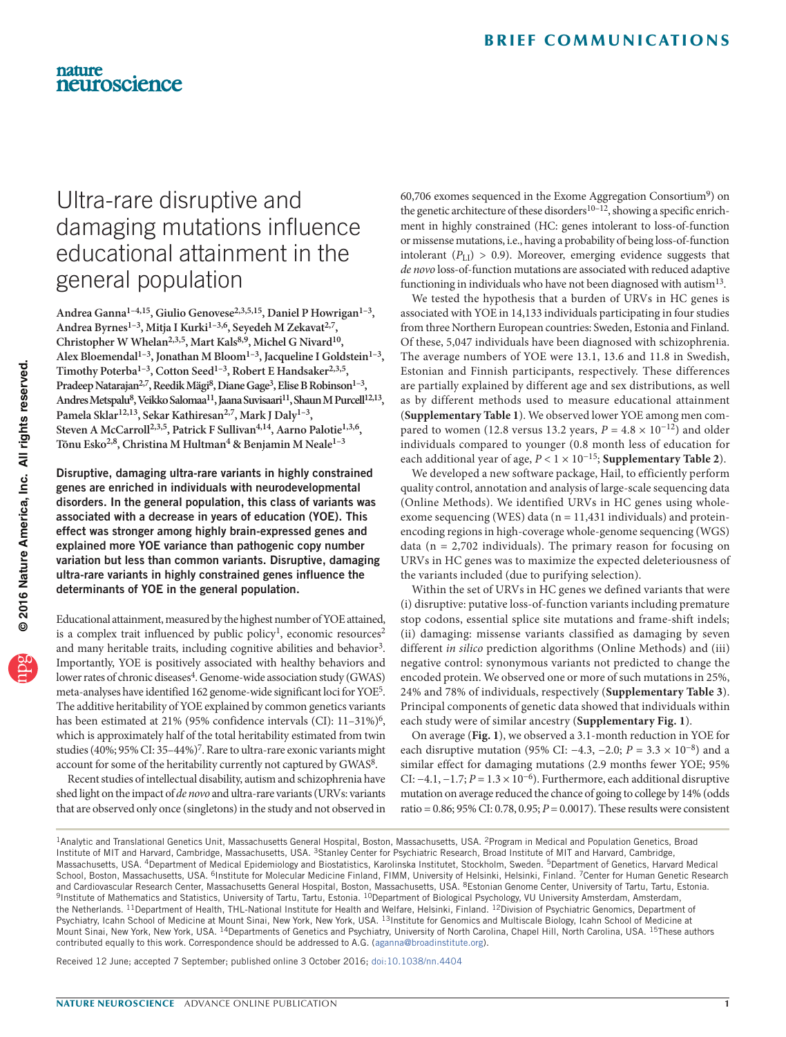# Ultra-rare disruptive and damaging mutations influence educational attainment in the general population

**Andrea Ganna1–4,15, Giulio Genovese2,3,5,15, Daniel P Howrigan1–3,**  Andrea Byrnes<sup>1-3</sup>, Mitja I Kurki<sup>1-3,6</sup>, Seyedeh M Zekavat<sup>2,7</sup>, **Christopher W Whelan2,3,5, Mart Kals8,9, Michel G Nivard10,**  Alex Bloemendal<sup>1-3</sup>, Jonathan M Bloom<sup>1-3</sup>, Jacqueline I Goldstein<sup>1-3</sup>, Timothy Poterba<sup>1-3</sup>, Cotton Seed<sup>1-3</sup>, Robert E Handsaker<sup>2,3,5</sup>, Pradeep Natarajan<sup>2,7</sup>, Reedik Mägi<sup>8</sup>, Diane Gage<sup>3</sup>, Elise B Robinson<sup>1-3</sup>, Andres Metspalu<sup>8</sup>, Veikko Salomaa<sup>11</sup>, Jaana Suvisaari<sup>11</sup>, Shaun M Purcell<sup>12,13</sup>, Pamela Sklar<sup>12,13</sup>, Sekar Kathiresan<sup>2,7</sup>, Mark J Daly<sup>1-3</sup>, Steven A McCarroll<sup>2,3,5</sup>, Patrick F Sullivan<sup>4,14</sup>, Aarno Palotie<sup>1,3,6</sup>, **Tõnu Esko2,8, Christina M Hultman4 & Benjamin M Neale1–3**

Disruptive, damaging ultra-rare variants in highly constrained genes are enriched in individuals with neurodevelopmental disorders. In the general population, this class of variants was associated with a decrease in years of education (YOE). This effect was stronger among highly brain-expressed genes and explained more YOE variance than pathogenic copy number variation but less than common variants. Disruptive, damaging ultra-rare variants in highly constrained genes influence the determinants of YOE in the general population.

Educational attainment, measured by the highest number of YOE attained, is a complex trait influenced by public policy<sup>1</sup>, economic resources<sup>2</sup> and many heritable traits, including cognitive abilities and behavior<sup>[3](#page-2-2)</sup>. Importantly, YOE is positively associated with healthy behaviors and lower rates of chronic diseases<sup>4</sup>. Genome-wide association study (GWAS) meta-analyses have identified 162 genome-wide significant loci for YO[E5](#page-2-4). The additive heritability of YOE explained by common genetics variants has been estimated at 21% (95% confidence intervals (CI): 11-31%)<sup>6</sup>, which is approximately half of the total heritability estimated from twin studies (40%; 95% CI: 35–44%[\)7.](#page-2-6) Rare to ultra-rare exonic variants might account for some of the heritability currently not captured by GWAS<sup>8</sup>.

Recent studies of intellectual disability, autism and schizophrenia have shed light on the impact of *de novo* and ultra-rare variants (URVs: variants that are observed only once (singletons) in the study and not observed in 60,706 exomes sequenced in the Exome Aggregation Consortium<sup>9</sup>) on the genetic architecture of these disorders<sup>10–[12](#page-2-10)</sup>, showing a specific enrichment in highly constrained (HC: genes intolerant to loss-of-function or missense mutations, i.e., having a probability of being loss-of-function intolerant  $(P_{\text{LI}}) > 0.9$ ). Moreover, emerging evidence suggests that *de novo* loss-of-function mutations are associated with reduced adaptive functioning in individuals who have not been diagnosed with autism<sup>13</sup>.

We tested the hypothesis that a burden of URVs in HC genes is associated with YOE in 14,133 individuals participating in four studies from three Northern European countries: Sweden, Estonia and Finland. Of these, 5,047 individuals have been diagnosed with schizophrenia. The average numbers of YOE were 13.1, 13.6 and 11.8 in Swedish, Estonian and Finnish participants, respectively. These differences are partially explained by different age and sex distributions, as well as by different methods used to measure educational attainment (**Supplementary Table 1**). We observed lower YOE among men compared to women (12.8 versus 13.2 years,  $P = 4.8 \times 10^{-12}$ ) and older individuals compared to younger (0.8 month less of education for each additional year of age,  $P < 1 \times 10^{-15}$ ; **Supplementary Table 2**).

We developed a new software package, Hail, to efficiently perform quality control, annotation and analysis of large-scale sequencing data (Online Methods). We identified URVs in HC genes using wholeexome sequencing (WES) data ( $n = 11,431$  individuals) and proteinencoding regions in high-coverage whole-genome sequencing (WGS) data ( $n = 2,702$  individuals). The primary reason for focusing on URVs in HC genes was to maximize the expected deleteriousness of the variants included (due to purifying selection).

Within the set of URVs in HC genes we defined variants that were (i) disruptive: putative loss-of-function variants including premature stop codons, essential splice site mutations and frame-shift indels; (ii) damaging: missense variants classified as damaging by seven different *in silico* prediction algorithms (Online Methods) and (iii) negative control: synonymous variants not predicted to change the encoded protein. We observed one or more of such mutations in 25%, 24% and 78% of individuals, respectively (**Supplementary Table 3**). Principal components of genetic data showed that individuals within each study were of similar ancestry (**Supplementary Fig. 1**).

On average (**[Fig. 1](#page-1-0)**), we observed a 3.1-month reduction in YOE for each disruptive mutation (95% CI: −4.3, −2.0; *P* = 3.3 × 10−8) and a similar effect for damaging mutations (2.9 months fewer YOE; 95% CI:  $-4.1, -1.7; P = 1.3 \times 10^{-6}$ ). Furthermore, each additional disruptive mutation on average reduced the chance of going to college by 14% (odds ratio = 0.86; 95% CI: 0.78, 0.95; *P* = 0.0017). These results were consistent

Received 12 June; accepted 7 September; published online 3 October 2016; [doi:10.1038/nn.4404](http://dx.doi.org/10.1038/nn.4404)

<sup>&</sup>lt;sup>1</sup>Analytic and Translational Genetics Unit, Massachusetts General Hospital, Boston, Massachusetts, USA. <sup>2</sup>Program in Medical and Population Genetics, Broad Institute of MIT and Harvard, Cambridge, Massachusetts, USA. <sup>3</sup>Stanley Center for Psychiatric Research, Broad Institute of MIT and Harvard, Cambridge, Massachusetts, USA. <sup>4</sup>Department of Medical Epidemiology and Biostatistics, Karolinska Institutet, Stockholm, Sweden. <sup>5</sup>Department of Genetics, Harvard Medical School, Boston, Massachusetts, USA. <sup>6</sup>Institute for Molecular Medicine Finland, FIMM, University of Helsinki, Helsinki, Finland. <sup>7</sup>Center for Human Genetic Research and Cardiovascular Research Center, Massachusetts General Hospital, Boston, Massachusetts, USA. <sup>8</sup>Estonian Genome Center, University of Tartu, Tartu, Estonia.<br><sup>9</sup>Institute of Mathematics and Statistics, University of Tart the Netherlands. <sup>11</sup>Department of Health, THL-National Institute for Health and Welfare, Helsinki, Finland. <sup>12</sup>Division of Psychiatric Genomics, Department of Psychiatry, Icahn School of Medicine at Mount Sinai, New York, New York, USA. 13Institute for Genomics and Multiscale Biology, Icahn School of Medicine at Mount Sinai, New York, New York, USA. 14Departments of Genetics and Psychiatry, University of North Carolina, Chapel Hill, North Carolina, USA. 15These authors contributed equally to this work. Correspondence should be addressed to A.G. (aganna@broadinstitute.org).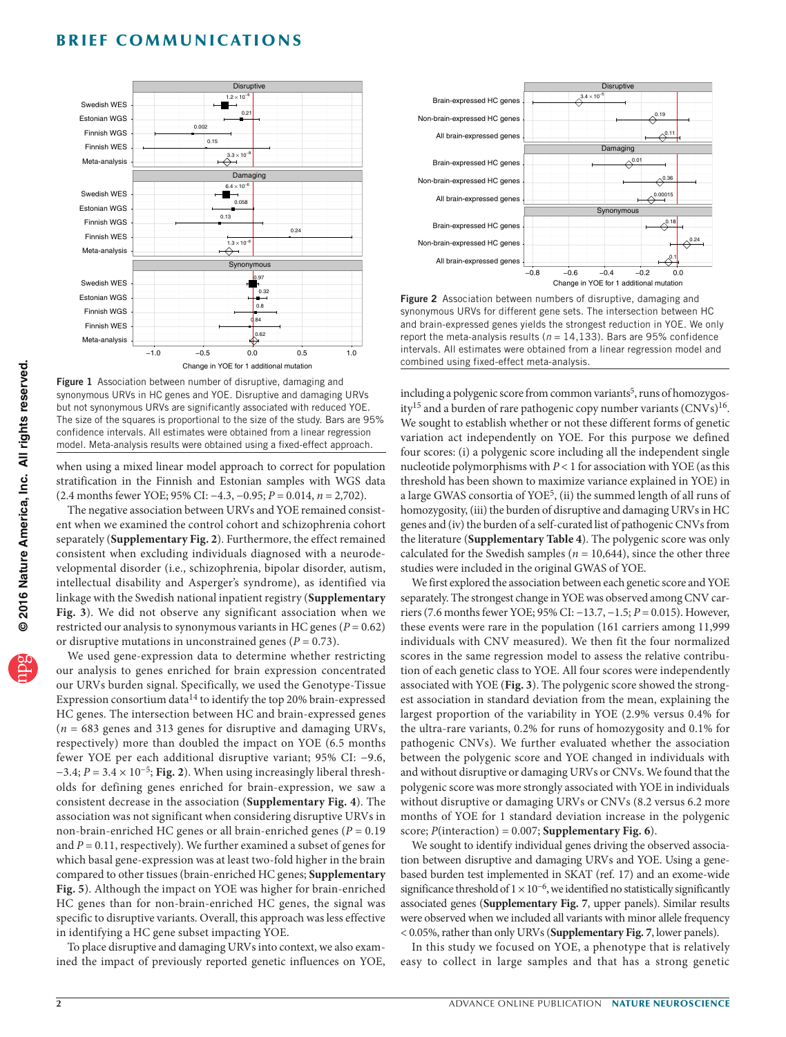## **BRIEF COMMUNICATIONS**



<span id="page-1-0"></span>Figure 1 Association between number of disruptive, damaging and synonymous URVs in HC genes and YOE. Disruptive and damaging URVs but not synonymous URVs are significantly associated with reduced YOE. The size of the squares is proportional to the size of the study. Bars are 95% confidence intervals. All estimates were obtained from a linear regression model. Meta-analysis results were obtained using a fixed-effect approach.

when using a mixed linear model approach to correct for population stratification in the Finnish and Estonian samples with WGS data (2.4 months fewer YOE; 95% CI: −4.3, −0.95; *P* = 0.014, *n* = 2,702).

The negative association between URVs and YOE remained consistent when we examined the control cohort and schizophrenia cohort separately (**Supplementary Fig. 2**). Furthermore, the effect remained consistent when excluding individuals diagnosed with a neurodevelopmental disorder (i.e., schizophrenia, bipolar disorder, autism, intellectual disability and Asperger's syndrome), as identified via linkage with the Swedish national inpatient registry (**Supplementary Fig. 3**). We did not observe any significant association when we restricted our analysis to synonymous variants in HC genes ( $P = 0.62$ ) or disruptive mutations in unconstrained genes ( $P = 0.73$ ).

We used gene-expression data to determine whether restricting our analysis to genes enriched for brain expression concentrated our URVs burden signal. Specifically, we used the Genotype-Tissue Expression consortium data[14](#page-2-12) to identify the top 20% brain-expressed HC genes. The intersection between HC and brain-expressed genes (*n* = 683 genes and 313 genes for disruptive and damaging URVs, respectively) more than doubled the impact on YOE (6.5 months fewer YOE per each additional disruptive variant; 95% CI: −9.6, −3.4; *P* = 3.4 × 10−5; **[Fig. 2](#page-1-1)**). When using increasingly liberal thresholds for defining genes enriched for brain-expression, we saw a consistent decrease in the association (**Supplementary Fig. 4**). The association was not significant when considering disruptive URVs in non-brain-enriched HC genes or all brain-enriched genes (*P* = 0.19 and  $P = 0.11$ , respectively). We further examined a subset of genes for which basal gene-expression was at least two-fold higher in the brain compared to other tissues (brain-enriched HC genes; **Supplementary Fig. 5**). Although the impact on YOE was higher for brain-enriched HC genes than for non-brain-enriched HC genes, the signal was specific to disruptive variants. Overall, this approach was less effective in identifying a HC gene subset impacting YOE.

To place disruptive and damaging URVs into context, we also examined the impact of previously reported genetic influences on YOE,



<span id="page-1-1"></span>Figure 2 Association between numbers of disruptive, damaging and synonymous URVs for different gene sets. The intersection between HC and brain-expressed genes yields the strongest reduction in YOE. We only report the meta-analysis results ( $n = 14,133$ ). Bars are 95% confidence intervals. All estimates were obtained from a linear regression model and combined using fixed-effect meta-analysis.

including a polygenic score from common variants<sup>5</sup>, runs of homozygos-ity<sup>[15](#page-2-13)</sup> and a burden of rare pathogenic copy number variants (CNVs)<sup>16</sup>. We sought to establish whether or not these different forms of genetic variation act independently on YOE. For this purpose we defined four scores: (i) a polygenic score including all the independent single nucleotide polymorphisms with *P* < 1 for association with YOE (as this threshold has been shown to maximize variance explained in YOE) in a large GWAS consortia of YOE[5,](#page-2-4) (ii) the summed length of all runs of homozygosity, (iii) the burden of disruptive and damaging URVs in HC genes and (iv) the burden of a self-curated list of pathogenic CNVs from the literature (**Supplementary Table 4**). The polygenic score was only calculated for the Swedish samples ( $n = 10,644$ ), since the other three studies were included in the original GWAS of YOE.

We first explored the association between each genetic score and YOE separately. The strongest change in YOE was observed among CNV carriers (7.6 months fewer YOE; 95% CI: −13.7, −1.5; *P* = 0.015). However, these events were rare in the population (161 carriers among 11,999 individuals with CNV measured). We then fit the four normalized scores in the same regression model to assess the relative contribution of each genetic class to YOE. All four scores were independently associated with YOE (**[Fig. 3](#page-2-15)**). The polygenic score showed the strongest association in standard deviation from the mean, explaining the largest proportion of the variability in YOE (2.9% versus 0.4% for the ultra-rare variants, 0.2% for runs of homozygosity and 0.1% for pathogenic CNVs). We further evaluated whether the association between the polygenic score and YOE changed in individuals with and without disruptive or damaging URVs or CNVs. We found that the polygenic score was more strongly associated with YOE in individuals without disruptive or damaging URVs or CNVs (8.2 versus 6.2 more months of YOE for 1 standard deviation increase in the polygenic score; *P*(interaction) = 0.007; **Supplementary Fig. 6**).

We sought to identify individual genes driving the observed association between disruptive and damaging URVs and YOE. Using a genebased burden test implemented in SKAT (ref. [17\)](#page-2-16) and an exome-wide significance threshold of  $1 \times 10^{-6}$ , we identified no statistically significantly associated genes (**Supplementary Fig. 7**, upper panels). Similar results were observed when we included all variants with minor allele frequency < 0.05%, rather than only URVs (**Supplementary Fig. 7**, lower panels).

In this study we focused on YOE, a phenotype that is relatively easy to collect in large samples and that has a strong genetic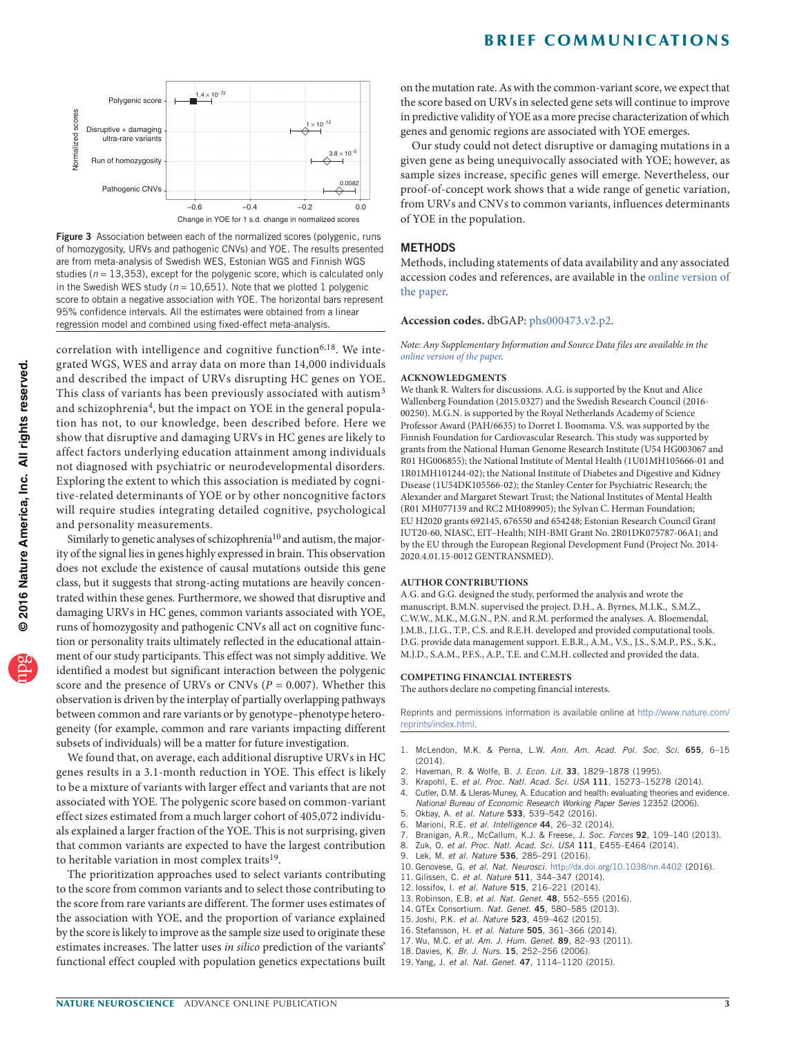# **BRIEF COMMUNICATIONS**



<span id="page-2-15"></span>Figure 3 Association between each of the normalized scores (polygenic, runs of homozygosity, URVs and pathogenic CNVs) and YOE. The results presented are from meta-analysis of Swedish WES, Estonian WGS and Finnish WGS studies (*n* = 13,353), except for the polygenic score, which is calculated only in the Swedish WES study ( $n = 10,651$ ). Note that we plotted 1 polygenic score to obtain a negative association with YOE. The horizontal bars represent 95% confidence intervals. All the estimates were obtained from a linear regression model and combined using fixed-effect meta-analysis.

correlation with intelligence and cognitive function<sup>[6,](#page-2-5)18</sup>. We integrated WGS, WES and array data on more than 14,000 individuals and described the impact of URVs disrupting HC genes on YOE. This class of variants has been previously associated with autism<sup>[3](#page-2-2)</sup> and schizophrenia<sup>4</sup>, but the impact on YOE in the general population has not, to our knowledge, been described before. Here we show that disruptive and damaging URVs in HC genes are likely to affect factors underlying education attainment among individuals not diagnosed with psychiatric or neurodevelopmental disorders. Exploring the extent to which this association is mediated by cognitive-related determinants of YOE or by other noncognitive factors will require studies integrating detailed cognitive, psychological and personality measurements.

Similarly to genetic analyses of schizophrenia<sup>[10](#page-2-9)</sup> and autism, the majority of the signal lies in genes highly expressed in brain. This observation does not exclude the existence of causal mutations outside this gene class, but it suggests that strong-acting mutations are heavily concentrated within these genes. Furthermore, we showed that disruptive and damaging URVs in HC genes, common variants associated with YOE, runs of homozygosity and pathogenic CNVs all act on cognitive function or personality traits ultimately reflected in the educational attainment of our study participants. This effect was not simply additive. We identified a modest but significant interaction between the polygenic score and the presence of URVs or CNVs (*P* = 0.007). Whether this observation is driven by the interplay of partially overlapping pathways between common and rare variants or by genotype–phenotype heterogeneity (for example, common and rare variants impacting different subsets of individuals) will be a matter for future investigation.

We found that, on average, each additional disruptive URVs in HC genes results in a 3.1-month reduction in YOE. This effect is likely to be a mixture of variants with larger effect and variants that are not associated with YOE. The polygenic score based on common-variant effect sizes estimated from a much larger cohort of 405,072 individuals explained a larger fraction of the YOE. This is not surprising, given that common variants are expected to have the largest contribution to heritable variation in most complex traits<sup>[19](#page-2-18)</sup>.

The prioritization approaches used to select variants contributing to the score from common variants and to select those contributing to the score from rare variants are different. The former uses estimates of the association with YOE, and the proportion of variance explained by the score is likely to improve as the sample size used to originate these estimates increases. The latter uses *in silico* prediction of the variants' functional effect coupled with population genetics expectations built

on the mutation rate. As with the common-variant score, we expect that the score based on URVs in selected gene sets will continue to improve in predictive validity of YOE as a more precise characterization of which genes and genomic regions are associated with YOE emerges.

Our study could not detect disruptive or damaging mutations in a given gene as being unequivocally associated with YOE; however, as sample sizes increase, specific genes will emerge. Nevertheless, our proof-of-concept work shows that a wide range of genetic variation, from URVs and CNVs to common variants, influences determinants of YOE in the population.

#### **METHODS**

Methods, including statements of data availability and any associated accession codes and references, are available in the [online version of](http://dx.doi.org/10.1038/nn.4404) [the paper.](http://dx.doi.org/10.1038/nn.4404)

## **Accession codes.** dbGAP: [phs000473.v2.p2.](http://www.ncbi.nlm.nih.gov/projects/gap/cgi-bin/study.cgi?study_id=phs000473.v2.p2)

*Note: Any Supplementary Information and Source Data files are available in the [online version of the paper.](http://dx.doi.org/10.1038/nn.4404)*

#### **Acknowledgments**

We thank R. Walters for discussions. A.G. is supported by the Knut and Alice Wallenberg Foundation (2015.0327) and the Swedish Research Council (2016- 00250). M.G.N. is supported by the Royal Netherlands Academy of Science Professor Award (PAH/6635) to Dorret I. Boomsma. V.S. was supported by the Finnish Foundation for Cardiovascular Research. This study was supported by grants from the National Human Genome Research Institute (U54 HG003067 and R01 HG006855); the National Institute of Mental Health (1U01MH105666-01 and 1R01MH101244-02); the National Institute of Diabetes and Digestive and Kidney Disease (1U54DK105566-02); the Stanley Center for Psychiatric Research; the Alexander and Margaret Stewart Trust; the National Institutes of Mental Health (R01 MH077139 and RC2 MH089905); the Sylvan C. Herman Foundation; EU H2020 grants 692145, 676550 and 654248; Estonian Research Council Grant IUT20-60, NIASC, EIT–Health; NIH-BMI Grant No. 2R01DK075787-06A1; and by the EU through the European Regional Development Fund (Project No. 2014- 2020.4.01.15-0012 GENTRANSMED).

#### **AUTHOR CONTRIBUTIONS**

A.G. and G.G. designed the study, performed the analysis and wrote the manuscript. B.M.N. supervised the project. D.H., A. Byrnes, M.I.K., S.M.Z., C.W.W., M.K., M.G.N., P.N. and R.M. performed the analyses. A. Bloemendal, J.M.B., J.I.G., T.P., C.S. and R.E.H. developed and provided computational tools. D.G. provide data management support. E.B.R., A.M., V.S., J.S., S.M.P., P.S., S.K., M.J.D., S.A.M., P.F.S., A.P., T.E. and C.M.H. collected and provided the data.

#### **COMPETING FINANCIAL INTERESTS**

The authors declare no competing financial interests.

Reprints and permissions information is available online at [http://www.nature.com/](http://www.nature.com/reprints/index.html) [reprints/index.html.](http://www.nature.com/reprints/index.html)

- <span id="page-2-0"></span>1. McLendon, M.K. & Perna, L.W. *Ann. Am. Acad. Pol. Soc. Sci.* 655, 6–15 (2014).
- <span id="page-2-1"></span>2. Haveman, R. & Wolfe, B. *J. Econ. Lit.* 33, 1829–1878 (1995).
- <span id="page-2-2"></span>3. Krapohl, E. *et al. Proc. Natl. Acad. Sci. USA* 111, 15273–15278 (2014).
- <span id="page-2-3"></span>4. Cutler, D.M. & Lleras-Muney, A. Education and health: evaluating theories and evidence. *National Bureau of Economic Research Working Paper Series* 12352 (2006). 5. Okbay, A. *et al. Nature* 533, 539–542 (2016).
- <span id="page-2-4"></span>
- <span id="page-2-6"></span><span id="page-2-5"></span>6. Marioni, R.E. *et al. Intelligence* 44, 26–32 (2014). 7. Branigan, A.R., McCallum, K.J. & Freese, J. *Soc. Forces* 92, 109–140 (2013).
- <span id="page-2-7"></span>8. Zuk, O. *et al. Proc. Natl. Acad. Sci. USA* 111, E455–E464 (2014).
- <span id="page-2-8"></span>9. Lek, M. *et al. Nature* 536, 285–291 (2016).
- <span id="page-2-9"></span>10. Genovese, G. *et al. Nat. Neurosci.* <http://dx.doi.org/10.1038/nn.4402> (2016).
- 11. Gilissen, C. *et al. Nature* 511, 344–347 (2014).
- <span id="page-2-10"></span>12. Iossifov, I. *et al. Nature* 515, 216–221 (2014).
- <span id="page-2-11"></span>13. Robinson, E.B. *et al. Nat. Genet.* 48, 552–555 (2016).
- <span id="page-2-12"></span>14. GTEx Consortium. *Nat. Genet.* 45, 580–585 (2013).
- <span id="page-2-13"></span>15. Joshi, P.K. *et al. Nature* 523, 459–462 (2015).
- <span id="page-2-14"></span>16. Stefansson, H. *et al. Nature* 505, 361–366 (2014).
- <span id="page-2-16"></span>17. Wu, M.C. *et al. Am. J. Hum. Genet.* 89, 82–93 (2011).
- <span id="page-2-17"></span>18. Davies, K. *Br. J. Nurs.* 15, 252–256 (2006).
- <span id="page-2-18"></span>19. Yang, J. *et al. Nat. Genet.* 47, 1114–1120 (2015).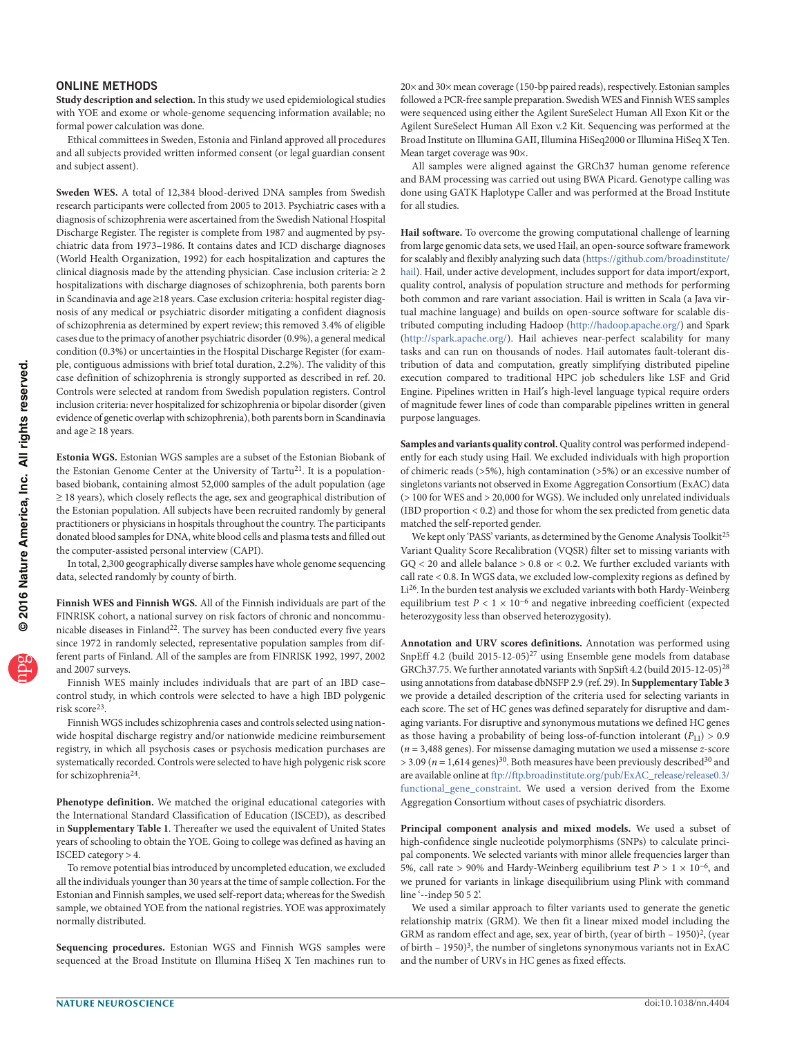### ONLINE METHODS

**Study description and selection.** In this study we used epidemiological studies with YOE and exome or whole-genome sequencing information available; no formal power calculation was done.

Ethical committees in Sweden, Estonia and Finland approved all procedures and all subjects provided written informed consent (or legal guardian consent and subject assent).

**Sweden WES.** A total of 12,384 blood-derived DNA samples from Swedish research participants were collected from 2005 to 2013. Psychiatric cases with a diagnosis of schizophrenia were ascertained from the Swedish National Hospital Discharge Register. The register is complete from 1987 and augmented by psychiatric data from 1973–1986. It contains dates and ICD discharge diagnoses (World Health Organization, 1992) for each hospitalization and captures the clinical diagnosis made by the attending physician. Case inclusion criteria:  $\geq 2$ hospitalizations with discharge diagnoses of schizophrenia, both parents born in Scandinavia and age ≥18 years. Case exclusion criteria: hospital register diagnosis of any medical or psychiatric disorder mitigating a confident diagnosis of schizophrenia as determined by expert review; this removed 3.4% of eligible cases due to the primacy of another psychiatric disorder (0.9%), a general medical condition (0.3%) or uncertainties in the Hospital Discharge Register (for example, contiguous admissions with brief total duration, 2.2%). The validity of this case definition of schizophrenia is strongly supported as described in ref. [20.](#page-4-0) Controls were selected at random from Swedish population registers. Control inclusion criteria: never hospitalized for schizophrenia or bipolar disorder (given evidence of genetic overlap with schizophrenia), both parents born in Scandinavia and age ≥ 18 years.

**Estonia WGS.** Estonian WGS samples are a subset of the Estonian Biobank of the Estonian Genome Center at the University of Tartu<sup>[21](#page-4-1)</sup>. It is a populationbased biobank, containing almost 52,000 samples of the adult population (age ≥ 18 years), which closely reflects the age, sex and geographical distribution of the Estonian population. All subjects have been recruited randomly by general practitioners or physicians in hospitals throughout the country. The participants donated blood samples for DNA, white blood cells and plasma tests and filled out the computer-assisted personal interview (CAPI).

In total, 2,300 geographically diverse samples have whole genome sequencing data, selected randomly by county of birth.

**Finnish WES and Finnish WGS.** All of the Finnish individuals are part of the FINRISK cohort, a national survey on risk factors of chronic and noncommunicable diseases in Finland<sup>22</sup>. The survey has been conducted every five years since 1972 in randomly selected, representative population samples from different parts of Finland. All of the samples are from FINRISK 1992, 1997, 2002 and 2007 surveys.

Finnish WES mainly includes individuals that are part of an IBD case– control study, in which controls were selected to have a high IBD polygenic risk score[23.](#page-4-3)

Finnish WGS includes schizophrenia cases and controls selected using nationwide hospital discharge registry and/or nationwide medicine reimbursement registry, in which all psychosis cases or psychosis medication purchases are systematically recorded. Controls were selected to have high polygenic risk score for schizophreni[a24](#page-4-4).

**Phenotype definition.** We matched the original educational categories with the International Standard Classification of Education (ISCED), as described in **Supplementary Table 1**. Thereafter we used the equivalent of United States years of schooling to obtain the YOE. Going to college was defined as having an ISCED category > 4.

To remove potential bias introduced by uncompleted education, we excluded all the individuals younger than 30 years at the time of sample collection. For the Estonian and Finnish samples, we used self-report data; whereas for the Swedish sample, we obtained YOE from the national registries. YOE was approximately normally distributed.

**Sequencing procedures.** Estonian WGS and Finnish WGS samples were sequenced at the Broad Institute on Illumina HiSeq X Ten machines run to

20× and 30× mean coverage (150-bp paired reads), respectively. Estonian samples followed a PCR-free sample preparation. Swedish WES and Finnish WES samples were sequenced using either the Agilent SureSelect Human All Exon Kit or the Agilent SureSelect Human All Exon v.2 Kit. Sequencing was performed at the Broad Institute on Illumina GAII, Illumina HiSeq2000 or Illumina HiSeq X Ten. Mean target coverage was 90×.

All samples were aligned against the GRCh37 human genome reference and BAM processing was carried out using BWA Picard. Genotype calling was done using GATK Haplotype Caller and was performed at the Broad Institute for all studies.

**Hail software.** To overcome the growing computational challenge of learning from large genomic data sets, we used Hail, an open-source software framework for scalably and flexibly analyzing such data ([https://github.com/broadinstitute/](https://github.com/broadinstitute/hail) [hail](https://github.com/broadinstitute/hail)). Hail, under active development, includes support for data import/export, quality control, analysis of population structure and methods for performing both common and rare variant association. Hail is written in Scala (a Java virtual machine language) and builds on open-source software for scalable distributed computing including Hadoop (<http://hadoop.apache.org/>) and Spark [\(http://spark.apache.org/](http://spark.apache.org/)). Hail achieves near-perfect scalability for many tasks and can run on thousands of nodes. Hail automates fault-tolerant distribution of data and computation, greatly simplifying distributed pipeline execution compared to traditional HPC job schedulers like LSF and Grid Engine. Pipelines written in Hail′s high-level language typical require orders of magnitude fewer lines of code than comparable pipelines written in general purpose languages.

**Samples and variants quality control.** Quality control was performed independently for each study using Hail. We excluded individuals with high proportion of chimeric reads (>5%), high contamination (>5%) or an excessive number of singletons variants not observed in Exome Aggregation Consortium (ExAC) data (> 100 for WES and > 20,000 for WGS). We included only unrelated individuals (IBD proportion < 0.2) and those for whom the sex predicted from genetic data matched the self-reported gender.

We kept only 'PASS' variants, as determined by the Genome Analysis Toolkit[25](#page-4-5) Variant Quality Score Recalibration (VQSR) filter set to missing variants with GQ < 20 and allele balance > 0.8 or < 0.2. We further excluded variants with call rate < 0.8. In WGS data, we excluded low-complexity regions as defined by L[i26.](#page-4-6) In the burden test analysis we excluded variants with both Hardy-Weinberg equilibrium test  $P < 1 \times 10^{-6}$  and negative inbreeding coefficient (expected heterozygosity less than observed heterozygosity).

**Annotation and URV scores definitions.** Annotation was performed using SnpEff 4.2 (build 2015-12-05[\)27](#page-4-7) using Ensemble gene models from database GRCh37.75. We further annotated variants with SnpSift 4.2 (build 2015-12-05)<sup>[28](#page-4-8)</sup> using annotations from database dbNSFP 2.9 (ref. [29\)](#page-4-9). In **Supplementary Table 3** we provide a detailed description of the criteria used for selecting variants in each score. The set of HC genes was defined separately for disruptive and damaging variants. For disruptive and synonymous mutations we defined HC genes as those having a probability of being loss-of-function intolerant  $(P_{\text{LI}}) > 0.9$ (*n* = 3,488 genes). For missense damaging mutation we used a missense *z*-score  $>$  3.09 ( $n$  = 1,614 genes)<sup>30</sup>. Both measures have been previously described<sup>30</sup> and are available online at [ftp://ftp.broadinstitute.org/pub/ExAC\\_release/release0.3/](ftp://ftp.broadinstitute.org/pub/ExAC_release/release0.3/functional_gene_constraint) [functional\\_gene\\_constraint](ftp://ftp.broadinstitute.org/pub/ExAC_release/release0.3/functional_gene_constraint). We used a version derived from the Exome Aggregation Consortium without cases of psychiatric disorders.

**Principal component analysis and mixed models.** We used a subset of high-confidence single nucleotide polymorphisms (SNPs) to calculate principal components. We selected variants with minor allele frequencies larger than 5%, call rate > 90% and Hardy-Weinberg equilibrium test *P* > 1 × 10−6, and we pruned for variants in linkage disequilibrium using Plink with command line '--indep 50 5 2'.

We used a similar approach to filter variants used to generate the genetic relationship matrix (GRM). We then fit a linear mixed model including the GRM as random effect and age, sex, year of birth, (year of birth - 1950)<sup>2</sup>, (year of birth - 1950)<sup>3</sup>, the number of singletons synonymous variants not in ExAC and the number of URVs in HC genes as fixed effects.